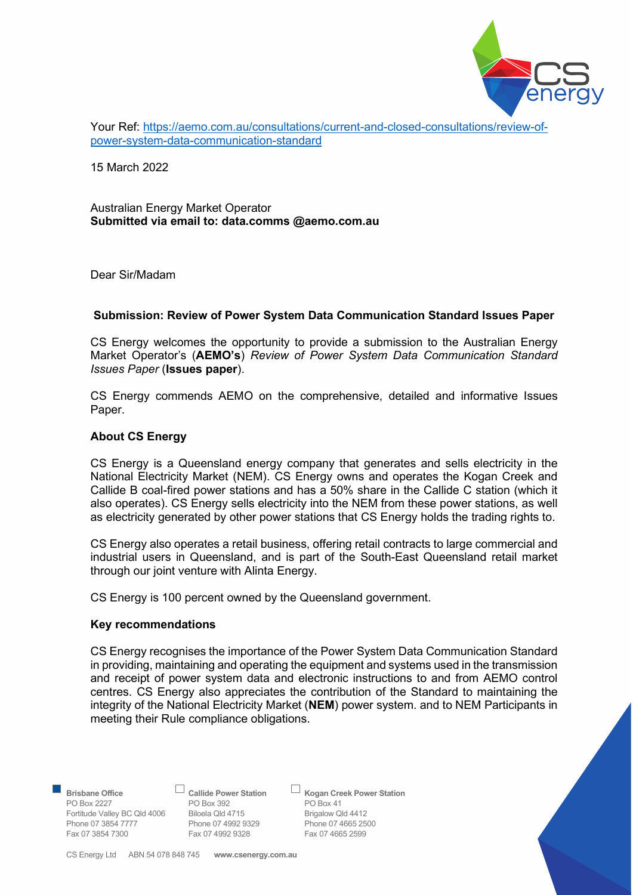

Your Ref: https://aemo.com.au/consultations/current-and-closed-consultations/review-ofpower-system-data-communication-standard

15 March 2022

# Australian Energy Market Operator Submitted via email to: data.comms @aemo.com.au

Dear Sir/Madam

# Submission: Review of Power System Data Communication Standard Issues Paper

CS Energy welcomes the opportunity to provide a submission to the Australian Energy Market Operator's (AEMO's) Review of Power System Data Communication Standard Issues Paper (Issues paper).

CS Energy commends AEMO on the comprehensive, detailed and informative Issues Paper.

# About CS Energy

CS Energy is a Queensland energy company that generates and sells electricity in the National Electricity Market (NEM). CS Energy owns and operates the Kogan Creek and Callide B coal-fired power stations and has a 50% share in the Callide C station (which it also operates). CS Energy sells electricity into the NEM from these power stations, as well as electricity generated by other power stations that CS Energy holds the trading rights to.

CS Energy also operates a retail business, offering retail contracts to large commercial and industrial users in Queensland, and is part of the South-East Queensland retail market through our joint venture with Alinta Energy.

CS Energy is 100 percent owned by the Queensland government.

#### Key recommendations

CS Energy recognises the importance of the Power System Data Communication Standard in providing, maintaining and operating the equipment and systems used in the transmission and receipt of power system data and electronic instructions to and from AEMO control centres. CS Energy also appreciates the contribution of the Standard to maintaining the integrity of the National Electricity Market (NEM) power system, and to NEM Participants in meeting their Rule compliance obligations.

PO Box 2227 PO Box 392 PO Box 41<br>
Fortitude Valley BC Qld 4006 Biloela Qld 4715 Brigalow Qld 4412 Fortitude Valley BC Qld 4006 Biloela Qld 4715 Brigalow Qld 4412 Phone 07 3854 7777 Phone 07 4992 9329 Phone 07 4665 25<br>
Fax 07 3854 7300 Fax 07 4992 9328 Fax 07 4665 2599 Fax 07 3854 7300 Fax 07 4992 9328

Brisbane Office  $\Box$  Callide Power Station  $\Box$  Kogan Creek Power Station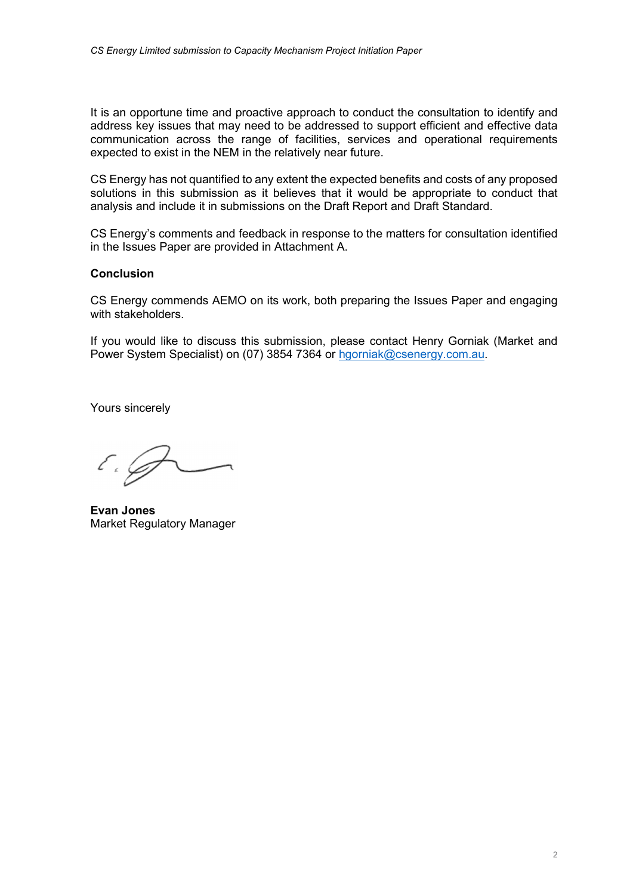It is an opportune time and proactive approach to conduct the consultation to identify and address key issues that may need to be addressed to support efficient and effective data communication across the range of facilities, services and operational requirements expected to exist in the NEM in the relatively near future.

CS Energy has not quantified to any extent the expected benefits and costs of any proposed solutions in this submission as it believes that it would be appropriate to conduct that analysis and include it in submissions on the Draft Report and Draft Standard.

CS Energy's comments and feedback in response to the matters for consultation identified in the Issues Paper are provided in Attachment A.

# **Conclusion**

CS Energy commends AEMO on its work, both preparing the Issues Paper and engaging with stakeholders.

If you would like to discuss this submission, please contact Henry Gorniak (Market and Power System Specialist) on (07) 3854 7364 or hgorniak@csenergy.com.au.

Yours sincerely

E . J

Evan Jones Market Regulatory Manager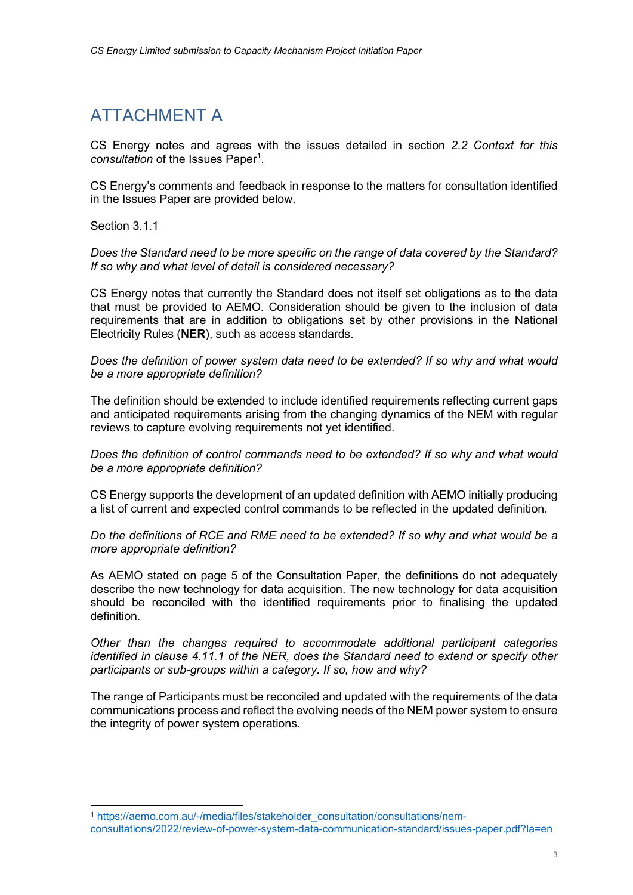# ATTACHMENT A

CS Energy notes and agrees with the issues detailed in section 2.2 Context for this consultation of the Issues Paper<sup>1</sup>.

CS Energy's comments and feedback in response to the matters for consultation identified in the Issues Paper are provided below.

# Section 3.1.1

Does the Standard need to be more specific on the range of data covered by the Standard? If so why and what level of detail is considered necessary?

CS Energy notes that currently the Standard does not itself set obligations as to the data that must be provided to AEMO. Consideration should be given to the inclusion of data requirements that are in addition to obligations set by other provisions in the National Electricity Rules (NER), such as access standards.

Does the definition of power system data need to be extended? If so why and what would be a more appropriate definition?

The definition should be extended to include identified requirements reflecting current gaps and anticipated requirements arising from the changing dynamics of the NEM with regular reviews to capture evolving requirements not yet identified.

Does the definition of control commands need to be extended? If so why and what would be a more appropriate definition?

CS Energy supports the development of an updated definition with AEMO initially producing a list of current and expected control commands to be reflected in the updated definition.

Do the definitions of RCE and RME need to be extended? If so why and what would be a more appropriate definition?

As AEMO stated on page 5 of the Consultation Paper, the definitions do not adequately describe the new technology for data acquisition. The new technology for data acquisition should be reconciled with the identified requirements prior to finalising the updated definition.

Other than the changes required to accommodate additional participant categories identified in clause 4.11.1 of the NER, does the Standard need to extend or specify other participants or sub-groups within a category. If so, how and why?

The range of Participants must be reconciled and updated with the requirements of the data communications process and reflect the evolving needs of the NEM power system to ensure the integrity of power system operations.

<sup>1</sup> https://aemo.com.au/-/media/files/stakeholder\_consultation/consultations/nemconsultations/2022/review-of-power-system-data-communication-standard/issues-paper.pdf?la=en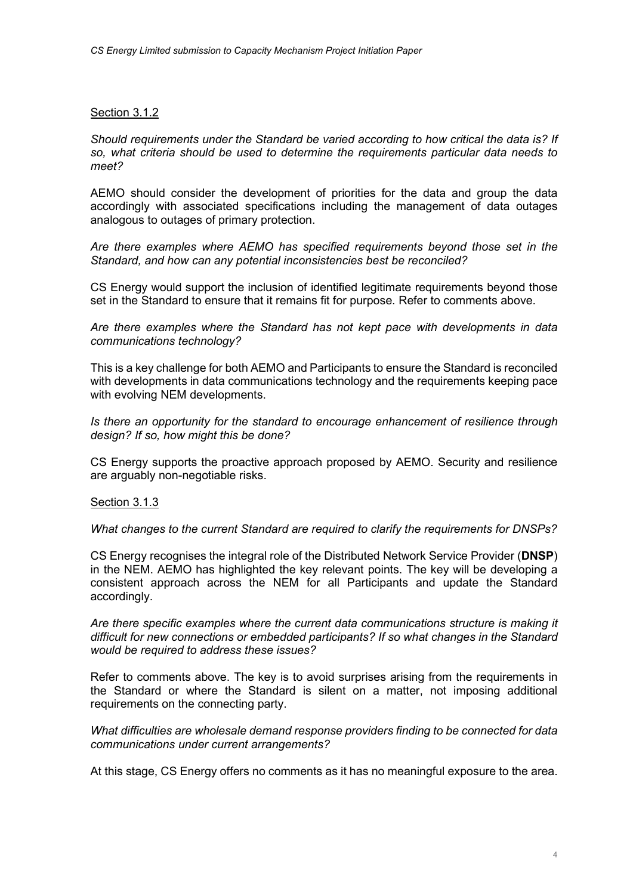# Section 3.1.2

Should requirements under the Standard be varied according to how critical the data is? If so, what criteria should be used to determine the requirements particular data needs to meet?

AEMO should consider the development of priorities for the data and group the data accordingly with associated specifications including the management of data outages analogous to outages of primary protection.

Are there examples where AEMO has specified requirements beyond those set in the Standard, and how can any potential inconsistencies best be reconciled?

CS Energy would support the inclusion of identified legitimate requirements beyond those set in the Standard to ensure that it remains fit for purpose. Refer to comments above.

Are there examples where the Standard has not kept pace with developments in data communications technology?

This is a key challenge for both AEMO and Participants to ensure the Standard is reconciled with developments in data communications technology and the requirements keeping pace with evolving NEM developments.

Is there an opportunity for the standard to encourage enhancement of resilience through design? If so, how might this be done?

CS Energy supports the proactive approach proposed by AEMO. Security and resilience are arguably non-negotiable risks.

Section 3.1.3

What changes to the current Standard are required to clarify the requirements for DNSPs?

CS Energy recognises the integral role of the Distributed Network Service Provider (DNSP) in the NEM. AEMO has highlighted the key relevant points. The key will be developing a consistent approach across the NEM for all Participants and update the Standard accordingly.

Are there specific examples where the current data communications structure is making it difficult for new connections or embedded participants? If so what changes in the Standard would be required to address these issues?

Refer to comments above. The key is to avoid surprises arising from the requirements in the Standard or where the Standard is silent on a matter, not imposing additional requirements on the connecting party.

What difficulties are wholesale demand response providers finding to be connected for data communications under current arrangements?

At this stage, CS Energy offers no comments as it has no meaningful exposure to the area.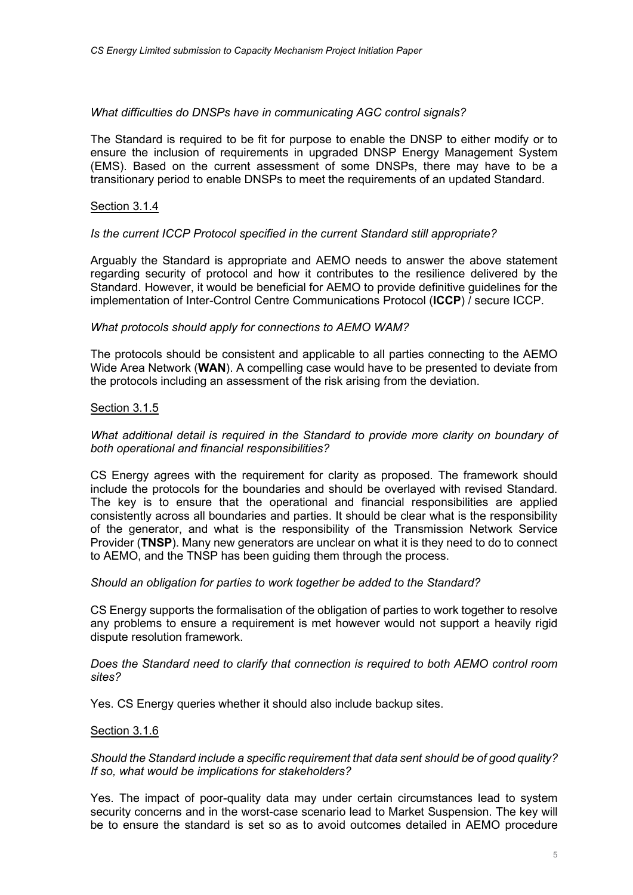#### What difficulties do DNSPs have in communicating AGC control signals?

The Standard is required to be fit for purpose to enable the DNSP to either modify or to ensure the inclusion of requirements in upgraded DNSP Energy Management System (EMS). Based on the current assessment of some DNSPs, there may have to be a transitionary period to enable DNSPs to meet the requirements of an updated Standard.

#### Section 3.1.4

# Is the current ICCP Protocol specified in the current Standard still appropriate?

Arguably the Standard is appropriate and AEMO needs to answer the above statement regarding security of protocol and how it contributes to the resilience delivered by the Standard. However, it would be beneficial for AEMO to provide definitive guidelines for the implementation of Inter-Control Centre Communications Protocol (ICCP) / secure ICCP.

# What protocols should apply for connections to AEMO WAM?

The protocols should be consistent and applicable to all parties connecting to the AEMO Wide Area Network (WAN). A compelling case would have to be presented to deviate from the protocols including an assessment of the risk arising from the deviation.

#### Section 3.1.5

# What additional detail is required in the Standard to provide more clarity on boundary of both operational and financial responsibilities?

CS Energy agrees with the requirement for clarity as proposed. The framework should include the protocols for the boundaries and should be overlayed with revised Standard. The key is to ensure that the operational and financial responsibilities are applied consistently across all boundaries and parties. It should be clear what is the responsibility of the generator, and what is the responsibility of the Transmission Network Service Provider (TNSP). Many new generators are unclear on what it is they need to do to connect to AEMO, and the TNSP has been guiding them through the process.

#### Should an obligation for parties to work together be added to the Standard?

CS Energy supports the formalisation of the obligation of parties to work together to resolve any problems to ensure a requirement is met however would not support a heavily rigid dispute resolution framework.

#### Does the Standard need to clarify that connection is required to both AEMO control room sites?

Yes. CS Energy queries whether it should also include backup sites.

#### Section 3.1.6

Should the Standard include a specific requirement that data sent should be of good quality? If so, what would be implications for stakeholders?

Yes. The impact of poor-quality data may under certain circumstances lead to system security concerns and in the worst-case scenario lead to Market Suspension. The key will be to ensure the standard is set so as to avoid outcomes detailed in AEMO procedure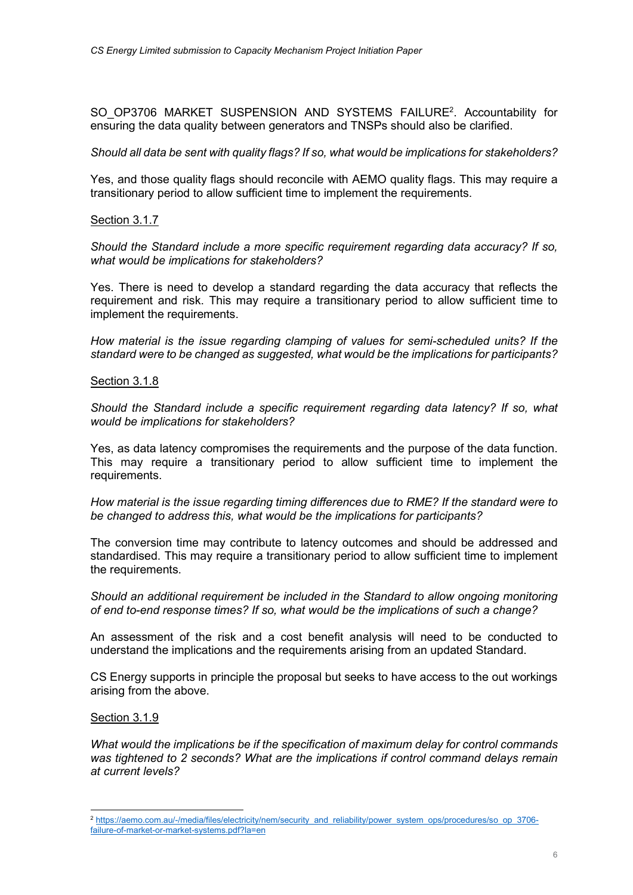SO\_OP3706 MARKET SUSPENSION AND SYSTEMS FAILURE<sup>2</sup>. Accountability for ensuring the data quality between generators and TNSPs should also be clarified.

Should all data be sent with quality flags? If so, what would be implications for stakeholders?

Yes, and those quality flags should reconcile with AEMO quality flags. This may require a transitionary period to allow sufficient time to implement the requirements.

Section 3.1.7

Should the Standard include a more specific requirement regarding data accuracy? If so, what would be implications for stakeholders?

Yes. There is need to develop a standard regarding the data accuracy that reflects the requirement and risk. This may require a transitionary period to allow sufficient time to implement the requirements.

How material is the issue regarding clamping of values for semi-scheduled units? If the standard were to be changed as suggested, what would be the implications for participants?

Section 3.1.8

Should the Standard include a specific requirement regarding data latency? If so, what would be implications for stakeholders?

Yes, as data latency compromises the requirements and the purpose of the data function. This may require a transitionary period to allow sufficient time to implement the requirements.

How material is the issue regarding timing differences due to RME? If the standard were to be changed to address this, what would be the implications for participants?

The conversion time may contribute to latency outcomes and should be addressed and standardised. This may require a transitionary period to allow sufficient time to implement the requirements.

Should an additional requirement be included in the Standard to allow ongoing monitoring of end to-end response times? If so, what would be the implications of such a change?

An assessment of the risk and a cost benefit analysis will need to be conducted to understand the implications and the requirements arising from an updated Standard.

CS Energy supports in principle the proposal but seeks to have access to the out workings arising from the above.

Section 3.1.9

What would the implications be if the specification of maximum delay for control commands was tightened to 2 seconds? What are the implications if control command delays remain at current levels?

<sup>&</sup>lt;sup>2</sup> https://aemo.com.au/-/media/files/electricity/nem/security\_and\_reliability/power\_system\_ops/procedures/so\_op\_3706failure-of-market-or-market-systems.pdf?la=en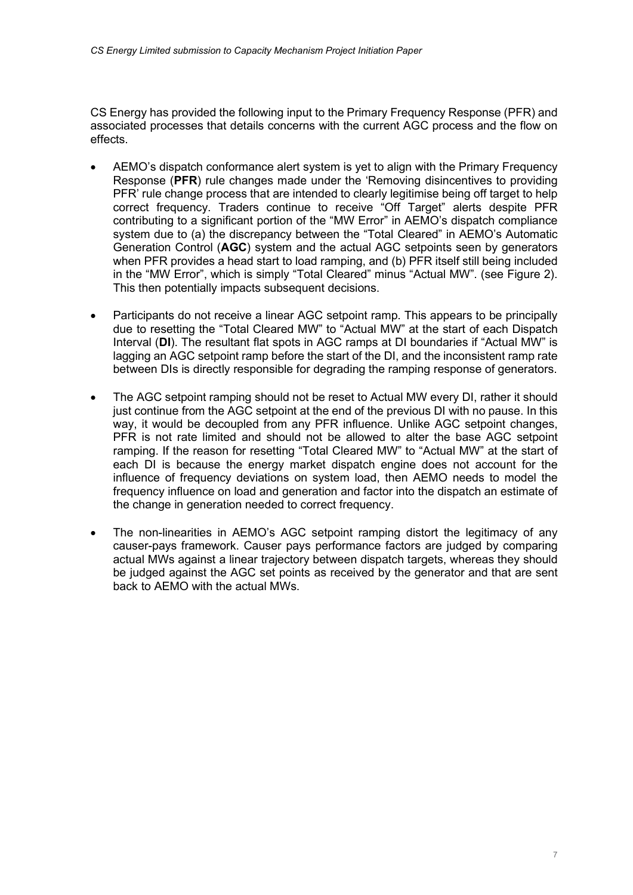CS Energy has provided the following input to the Primary Frequency Response (PFR) and associated processes that details concerns with the current AGC process and the flow on effects.

- AEMO's dispatch conformance alert system is yet to align with the Primary Frequency Response (PFR) rule changes made under the 'Removing disincentives to providing PFR' rule change process that are intended to clearly legitimise being off target to help correct frequency. Traders continue to receive "Off Target" alerts despite PFR contributing to a significant portion of the "MW Error" in AEMO's dispatch compliance system due to (a) the discrepancy between the "Total Cleared" in AEMO's Automatic Generation Control (AGC) system and the actual AGC setpoints seen by generators when PFR provides a head start to load ramping, and (b) PFR itself still being included in the "MW Error", which is simply "Total Cleared" minus "Actual MW". (see Figure 2). This then potentially impacts subsequent decisions.
- Participants do not receive a linear AGC setpoint ramp. This appears to be principally due to resetting the "Total Cleared MW" to "Actual MW" at the start of each Dispatch Interval (DI). The resultant flat spots in AGC ramps at DI boundaries if "Actual MW" is lagging an AGC setpoint ramp before the start of the DI, and the inconsistent ramp rate between DIs is directly responsible for degrading the ramping response of generators.
- The AGC setpoint ramping should not be reset to Actual MW every DI, rather it should just continue from the AGC setpoint at the end of the previous DI with no pause. In this way, it would be decoupled from any PFR influence. Unlike AGC setpoint changes, PFR is not rate limited and should not be allowed to alter the base AGC setpoint ramping. If the reason for resetting "Total Cleared MW" to "Actual MW" at the start of each DI is because the energy market dispatch engine does not account for the influence of frequency deviations on system load, then AEMO needs to model the frequency influence on load and generation and factor into the dispatch an estimate of the change in generation needed to correct frequency.
- The non-linearities in AEMO's AGC setpoint ramping distort the legitimacy of any causer-pays framework. Causer pays performance factors are judged by comparing actual MWs against a linear trajectory between dispatch targets, whereas they should be judged against the AGC set points as received by the generator and that are sent back to AEMO with the actual MWs.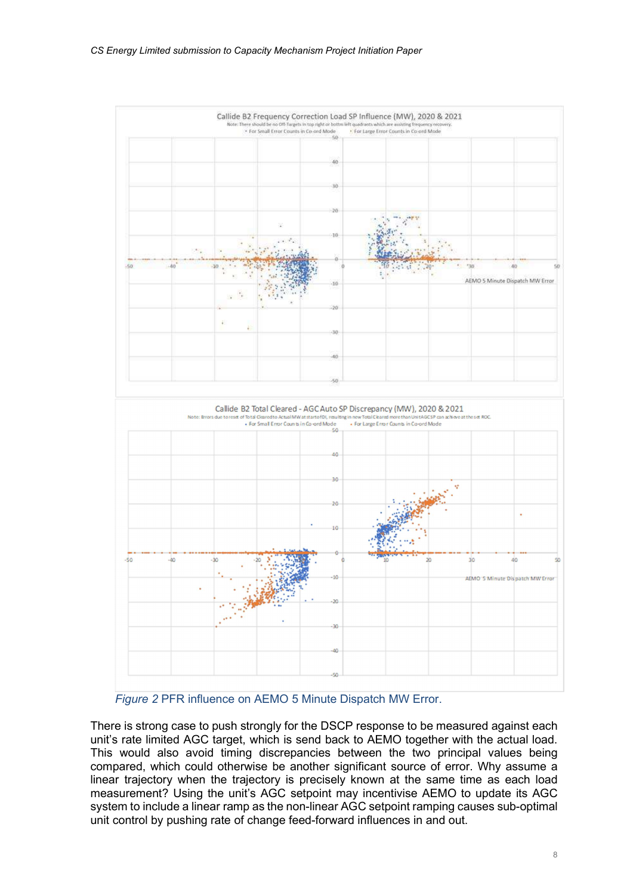

Figure 2 PFR influence on AEMO 5 Minute Dispatch MW Error.

There is strong case to push strongly for the DSCP response to be measured against each unit's rate limited AGC target, which is send back to AEMO together with the actual load. This would also avoid timing discrepancies between the two principal values being compared, which could otherwise be another significant source of error. Why assume a linear trajectory when the trajectory is precisely known at the same time as each load measurement? Using the unit's AGC setpoint may incentivise AEMO to update its AGC system to include a linear ramp as the non-linear AGC setpoint ramping causes sub-optimal unit control by pushing rate of change feed-forward influences in and out.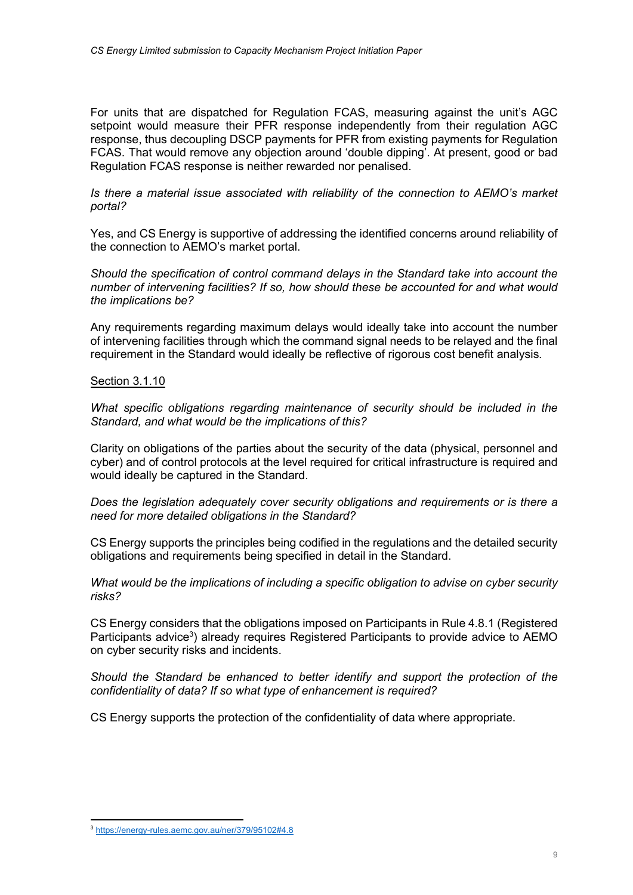For units that are dispatched for Regulation FCAS, measuring against the unit's AGC setpoint would measure their PFR response independently from their regulation AGC response, thus decoupling DSCP payments for PFR from existing payments for Regulation FCAS. That would remove any objection around 'double dipping'. At present, good or bad Regulation FCAS response is neither rewarded nor penalised.

Is there a material issue associated with reliability of the connection to AEMO's market portal?

Yes, and CS Energy is supportive of addressing the identified concerns around reliability of the connection to AEMO's market portal.

Should the specification of control command delays in the Standard take into account the number of intervening facilities? If so, how should these be accounted for and what would the implications be?

Any requirements regarding maximum delays would ideally take into account the number of intervening facilities through which the command signal needs to be relayed and the final requirement in the Standard would ideally be reflective of rigorous cost benefit analysis.

# Section 3.1.10

What specific obligations regarding maintenance of security should be included in the Standard, and what would be the implications of this?

Clarity on obligations of the parties about the security of the data (physical, personnel and cyber) and of control protocols at the level required for critical infrastructure is required and would ideally be captured in the Standard.

Does the legislation adequately cover security obligations and requirements or is there a need for more detailed obligations in the Standard?

CS Energy supports the principles being codified in the regulations and the detailed security obligations and requirements being specified in detail in the Standard.

What would be the implications of including a specific obligation to advise on cyber security risks?

CS Energy considers that the obligations imposed on Participants in Rule 4.8.1 (Registered Participants advice<sup>3</sup>) already requires Registered Participants to provide advice to AEMO on cyber security risks and incidents.

Should the Standard be enhanced to better identify and support the protection of the confidentiality of data? If so what type of enhancement is required?

CS Energy supports the protection of the confidentiality of data where appropriate.

<sup>3</sup> https://energy-rules.aemc.gov.au/ner/379/95102#4.8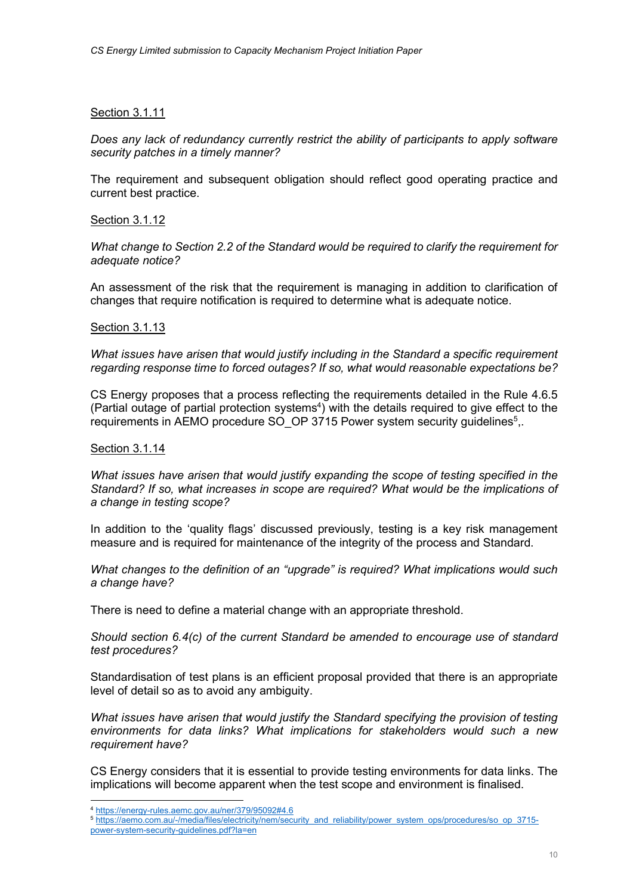# Section 3.1.11

Does any lack of redundancy currently restrict the ability of participants to apply software security patches in a timely manner?

The requirement and subsequent obligation should reflect good operating practice and current best practice.

#### Section 3.1.12

What change to Section 2.2 of the Standard would be required to clarify the requirement for adequate notice?

An assessment of the risk that the requirement is managing in addition to clarification of changes that require notification is required to determine what is adequate notice.

# Section 3.1.13

What issues have arisen that would justify including in the Standard a specific requirement regarding response time to forced outages? If so, what would reasonable expectations be?

CS Energy proposes that a process reflecting the requirements detailed in the Rule 4.6.5 (Partial outage of partial protection systems<sup>4</sup>) with the details required to give effect to the requirements in AEMO procedure SO\_OP 3715 Power system security guidelines<sup>5</sup>,.

#### Section 3.1.14

What issues have arisen that would justify expanding the scope of testing specified in the Standard? If so, what increases in scope are required? What would be the implications of a change in testing scope?

In addition to the 'quality flags' discussed previously, testing is a key risk management measure and is required for maintenance of the integrity of the process and Standard.

What changes to the definition of an "upgrade" is required? What implications would such a change have?

There is need to define a material change with an appropriate threshold.

Should section 6.4(c) of the current Standard be amended to encourage use of standard test procedures?

Standardisation of test plans is an efficient proposal provided that there is an appropriate level of detail so as to avoid any ambiguity.

What issues have arisen that would justify the Standard specifying the provision of testing environments for data links? What implications for stakeholders would such a new requirement have?

CS Energy considers that it is essential to provide testing environments for data links. The implications will become apparent when the test scope and environment is finalised.

<sup>4</sup> https://energy-rules.aemc.gov.au/ner/379/95092#4.6

<sup>5</sup> https://aemo.com.au/-/media/files/electricity/nem/security\_and\_reliability/power\_system\_ops/procedures/so\_op\_3715 power-system-security-guidelines.pdf?la=en